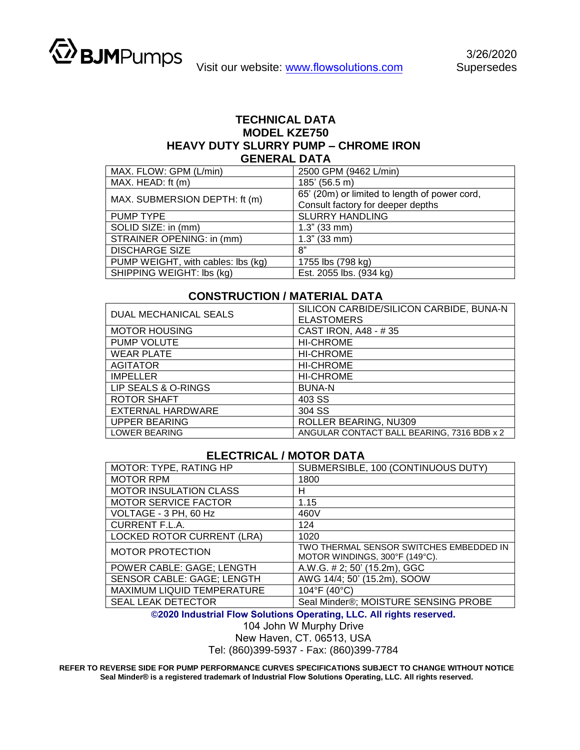

## **TECHNICAL DATA MODEL KZE750 HEAVY DUTY SLURRY PUMP – CHROME IRON GENERAL DATA**

| MAX. FLOW: GPM (L/min)             | 2500 GPM (9462 L/min)                         |
|------------------------------------|-----------------------------------------------|
| MAX. HEAD: ft (m)                  | 185' (56.5 m)                                 |
| MAX. SUBMERSION DEPTH: ft (m)      | 65' (20m) or limited to length of power cord, |
|                                    | Consult factory for deeper depths             |
| PUMP TYPE                          | <b>SLURRY HANDLING</b>                        |
| SOLID SIZE: in (mm)                | $1.3$ " (33 mm)                               |
| STRAINER OPENING: in (mm)          | $1.3"$ (33 mm)                                |
| <b>DISCHARGE SIZE</b>              | 8"                                            |
| PUMP WEIGHT, with cables: lbs (kg) | 1755 lbs (798 kg)                             |
| SHIPPING WEIGHT: lbs (kg)          | Est. 2055 lbs. (934 kg)                       |

## **CONSTRUCTION / MATERIAL DATA**

| <b>DUAL MECHANICAL SEALS</b> | SILICON CARBIDE/SILICON CARBIDE, BUNA-N<br><b>ELASTOMERS</b> |
|------------------------------|--------------------------------------------------------------|
| <b>MOTOR HOUSING</b>         | CAST IRON, A48 - #35                                         |
| <b>PUMP VOLUTE</b>           | <b>HI-CHROME</b>                                             |
| <b>WEAR PLATE</b>            | <b>HI-CHROME</b>                                             |
| <b>AGITATOR</b>              | <b>HI-CHROME</b>                                             |
| <b>IMPELLER</b>              | <b>HI-CHROME</b>                                             |
| LIP SEALS & O-RINGS          | <b>BUNA-N</b>                                                |
| ROTOR SHAFT                  | 403 SS                                                       |
| <b>EXTERNAL HARDWARE</b>     | 304 SS                                                       |
| <b>UPPER BEARING</b>         | ROLLER BEARING, NU309                                        |
| <b>LOWER BEARING</b>         | ANGULAR CONTACT BALL BEARING, 7316 BDB x 2                   |

## **ELECTRICAL / MOTOR DATA**

| MOTOR: TYPE, RATING HP            | SUBMERSIBLE, 100 (CONTINUOUS DUTY)                                        |
|-----------------------------------|---------------------------------------------------------------------------|
| <b>MOTOR RPM</b>                  | 1800                                                                      |
| <b>MOTOR INSULATION CLASS</b>     | н                                                                         |
| <b>MOTOR SERVICE FACTOR</b>       | 1.15                                                                      |
| VOLTAGE - 3 PH, 60 Hz             | 460V                                                                      |
| <b>CURRENT F.L.A.</b>             | 124                                                                       |
| <b>LOCKED ROTOR CURRENT (LRA)</b> | 1020                                                                      |
| <b>MOTOR PROTECTION</b>           | TWO THERMAL SENSOR SWITCHES EMBEDDED IN<br>MOTOR WINDINGS, 300°F (149°C). |
| POWER CABLE: GAGE; LENGTH         | A.W.G. # 2; 50' (15.2m), GGC                                              |
| SENSOR CABLE: GAGE; LENGTH        | AWG 14/4; 50' (15.2m), SOOW                                               |
| MAXIMUM LIQUID TEMPERATURE        | 104°F (40°C)                                                              |
| SEAL LEAK DETECTOR                | Seal Minder®; MOISTURE SENSING PROBE                                      |

**©2020 Industrial Flow Solutions Operating, LLC. All rights reserved.** 

104 John W Murphy Drive

New Haven, CT. 06513, USA

Tel: (860)399-5937 - Fax: (860)399-7784

**REFER TO REVERSE SIDE FOR PUMP PERFORMANCE CURVES SPECIFICATIONS SUBJECT TO CHANGE WITHOUT NOTICE Seal Minder® is a registered trademark of Industrial Flow Solutions Operating, LLC. All rights reserved.**